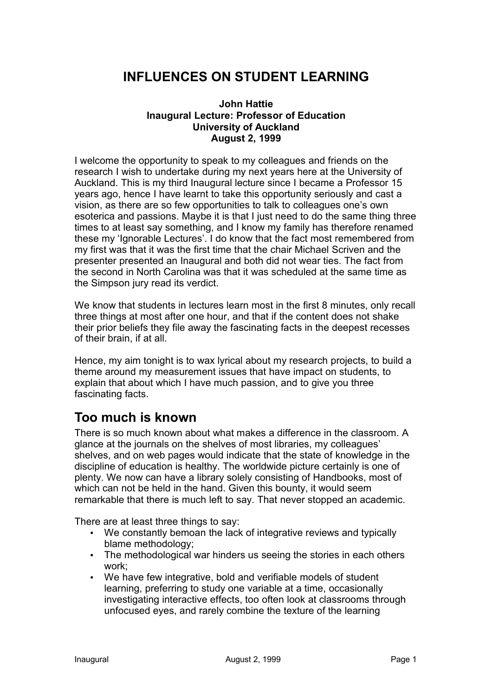## **INFLUENCES ON STUDENT LEARNING**

#### **John Hattie Inaugural Lecture: Professor of Education University of Auckland August 2, 1999**

I welcome the opportunity to speak to my colleagues and friends on the research I wish to undertake during my next years here at the University of Auckland. This is my third Inaugural lecture since I became a Professor 15 years ago, hence I have learnt to take this opportunity seriously and cast a vision, as there are so few opportunities to talk to colleagues one's own esoterica and passions. Maybe it is that I just need to do the same thing three times to at least say something, and I know my family has therefore renamed these my 'Ignorable Lectures'. I do know that the fact most remembered from my first was that it was the first time that the chair Michael Scriven and the presenter presented an Inaugural and both did not wear ties. The fact from the second in North Carolina was that it was scheduled at the same time as the Simpson jury read its verdict.

We know that students in lectures learn most in the first 8 minutes, only recall three things at most after one hour, and that if the content does not shake their prior beliefs they file away the fascinating facts in the deepest recesses of their brain, if at all.

Hence, my aim tonight is to wax lyrical about my research projects, to build a theme around my measurement issues that have impact on students, to explain that about which I have much passion, and to give you three fascinating facts.

## **Too much is known**

There is so much known about what makes a difference in the classroom. A glance at the journals on the shelves of most libraries, my colleagues' shelves, and on web pages would indicate that the state of knowledge in the discipline of education is healthy. The worldwide picture certainly is one of plenty. We now can have a library solely consisting of Handbooks, most of which can not be held in the hand. Given this bounty, it would seem remarkable that there is much left to say. That never stopped an academic.

There are at least three things to say:

- We constantly bemoan the lack of integrative reviews and typically blame methodology;
- The methodological war hinders us seeing the stories in each others work;
- We have few integrative, bold and verifiable models of student learning, preferring to study one variable at a time, occasionally investigating interactive effects, too often look at classrooms through unfocused eyes, and rarely combine the texture of the learning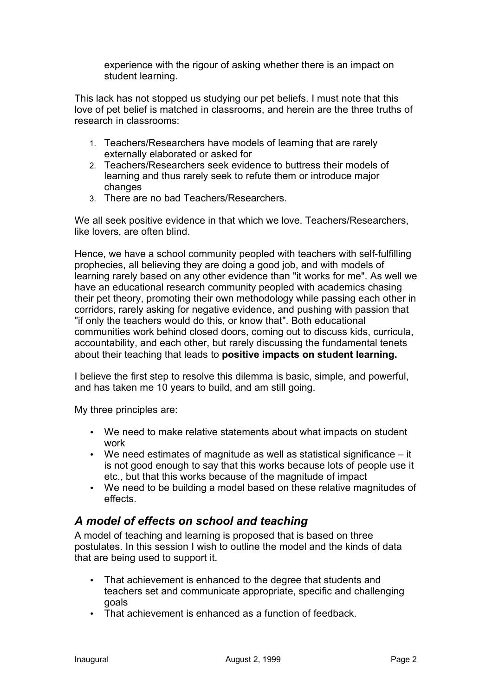experience with the rigour of asking whether there is an impact on student learning.

This lack has not stopped us studying our pet beliefs. I must note that this love of pet belief is matched in classrooms, and herein are the three truths of research in classrooms:

- 1. Teachers/Researchers have models of learning that are rarely externally elaborated or asked for
- 2. Teachers/Researchers seek evidence to buttress their models of learning and thus rarely seek to refute them or introduce major changes
- 3. There are no bad Teachers/Researchers.

We all seek positive evidence in that which we love. Teachers/Researchers, like lovers, are often blind.

Hence, we have a school community peopled with teachers with self-fulfilling prophecies, all believing they are doing a good job, and with models of learning rarely based on any other evidence than "it works for me". As well we have an educational research community peopled with academics chasing their pet theory, promoting their own methodology while passing each other in corridors, rarely asking for negative evidence, and pushing with passion that "if only the teachers would do this, or know that". Both educational communities work behind closed doors, coming out to discuss kids, curricula, accountability, and each other, but rarely discussing the fundamental tenets about their teaching that leads to **positive impacts on student learning.**

I believe the first step to resolve this dilemma is basic, simple, and powerful, and has taken me 10 years to build, and am still going.

My three principles are:

- We need to make relative statements about what impacts on student work
- We need estimates of magnitude as well as statistical significance it is not good enough to say that this works because lots of people use it etc., but that this works because of the magnitude of impact
- We need to be building a model based on these relative magnitudes of effects.

## *A model of effects on school and teaching*

A model of teaching and learning is proposed that is based on three postulates. In this session I wish to outline the model and the kinds of data that are being used to support it.

- That achievement is enhanced to the degree that students and teachers set and communicate appropriate, specific and challenging goals
- That achievement is enhanced as a function of feedback.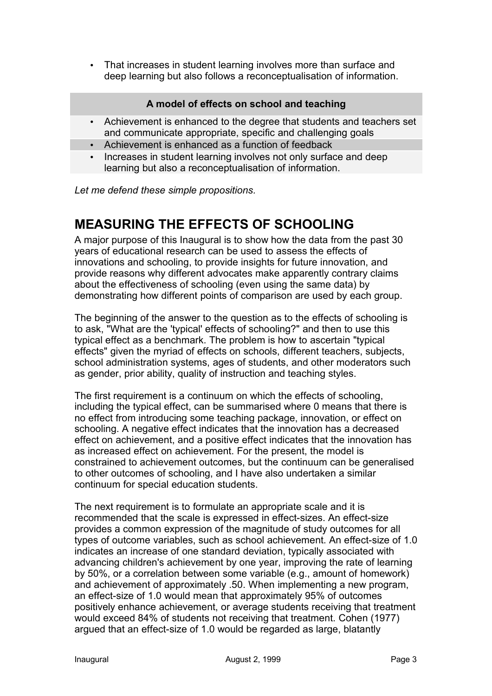• That increases in student learning involves more than surface and deep learning but also follows a reconceptualisation of information.

#### **A model of effects on school and teaching**

- Achievement is enhanced to the degree that students and teachers set and communicate appropriate, specific and challenging goals
- Achievement is enhanced as a function of feedback
- Increases in student learning involves not only surface and deep learning but also a reconceptualisation of information.

*Let me defend these simple propositions.*

## **MEASURING THE EFFECTS OF SCHOOLING**

A major purpose of this Inaugural is to show how the data from the past 30 years of educational research can be used to assess the effects of innovations and schooling, to provide insights for future innovation, and provide reasons why different advocates make apparently contrary claims about the effectiveness of schooling (even using the same data) by demonstrating how different points of comparison are used by each group.

The beginning of the answer to the question as to the effects of schooling is to ask, "What are the 'typical' effects of schooling?" and then to use this typical effect as a benchmark. The problem is how to ascertain "typical effects" given the myriad of effects on schools, different teachers, subjects, school administration systems, ages of students, and other moderators such as gender, prior ability, quality of instruction and teaching styles.

The first requirement is a continuum on which the effects of schooling, including the typical effect, can be summarised where 0 means that there is no effect from introducing some teaching package, innovation, or effect on schooling. A negative effect indicates that the innovation has a decreased effect on achievement, and a positive effect indicates that the innovation has as increased effect on achievement. For the present, the model is constrained to achievement outcomes, but the continuum can be generalised to other outcomes of schooling, and I have also undertaken a similar continuum for special education students.

The next requirement is to formulate an appropriate scale and it is recommended that the scale is expressed in effect-sizes. An effect-size provides a common expression of the magnitude of study outcomes for all types of outcome variables, such as school achievement. An effect-size of 1.0 indicates an increase of one standard deviation, typically associated with advancing children's achievement by one year, improving the rate of learning by 50%, or a correlation between some variable (e.g., amount of homework) and achievement of approximately .50. When implementing a new program, an effect-size of 1.0 would mean that approximately 95% of outcomes positively enhance achievement, or average students receiving that treatment would exceed 84% of students not receiving that treatment. Cohen (1977) argued that an effect-size of 1.0 would be regarded as large, blatantly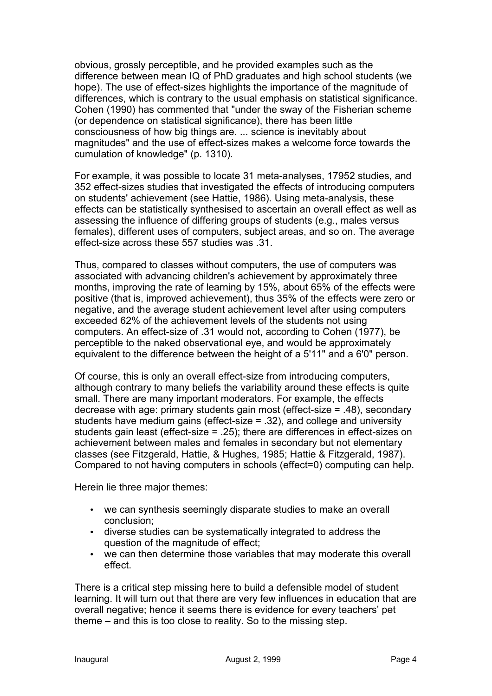obvious, grossly perceptible, and he provided examples such as the difference between mean IQ of PhD graduates and high school students (we hope). The use of effect-sizes highlights the importance of the magnitude of differences, which is contrary to the usual emphasis on statistical significance. Cohen (1990) has commented that "under the sway of the Fisherian scheme (or dependence on statistical significance), there has been little consciousness of how big things are. ... science is inevitably about magnitudes" and the use of effect-sizes makes a welcome force towards the cumulation of knowledge" (p. 1310).

For example, it was possible to locate 31 meta-analyses, 17952 studies, and 352 effect-sizes studies that investigated the effects of introducing computers on students' achievement (see Hattie, 1986). Using meta-analysis, these effects can be statistically synthesised to ascertain an overall effect as well as assessing the influence of differing groups of students (e.g., males versus females), different uses of computers, subject areas, and so on. The average effect-size across these 557 studies was .31.

Thus, compared to classes without computers, the use of computers was associated with advancing children's achievement by approximately three months, improving the rate of learning by 15%, about 65% of the effects were positive (that is, improved achievement), thus 35% of the effects were zero or negative, and the average student achievement level after using computers exceeded 62% of the achievement levels of the students not using computers. An effect-size of .31 would not, according to Cohen (1977), be perceptible to the naked observational eye, and would be approximately equivalent to the difference between the height of a 5'11" and a 6'0" person.

Of course, this is only an overall effect-size from introducing computers, although contrary to many beliefs the variability around these effects is quite small. There are many important moderators. For example, the effects decrease with age: primary students gain most (effect-size = .48), secondary students have medium gains (effect-size = .32), and college and university students gain least (effect-size = .25); there are differences in effect-sizes on achievement between males and females in secondary but not elementary classes (see Fitzgerald, Hattie, & Hughes, 1985; Hattie & Fitzgerald, 1987). Compared to not having computers in schools (effect=0) computing can help.

Herein lie three major themes:

- we can synthesis seemingly disparate studies to make an overall conclusion;
- diverse studies can be systematically integrated to address the question of the magnitude of effect;
- we can then determine those variables that may moderate this overall effect.

There is a critical step missing here to build a defensible model of student learning. It will turn out that there are very few influences in education that are overall negative; hence it seems there is evidence for every teachers' pet theme – and this is too close to reality. So to the missing step.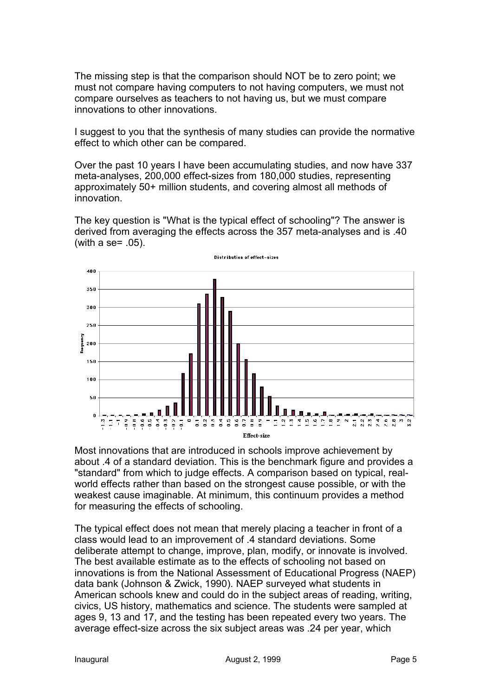The missing step is that the comparison should NOT be to zero point; we must not compare having computers to not having computers, we must not compare ourselves as teachers to not having us, but we must compare innovations to other innovations.

I suggest to you that the synthesis of many studies can provide the normative effect to which other can be compared.

Over the past 10 years I have been accumulating studies, and now have 337 meta-analyses, 200,000 effect-sizes from 180,000 studies, representing approximately 50+ million students, and covering almost all methods of innovation.

The key question is "What is the typical effect of schooling"? The answer is derived from averaging the effects across the 357 meta-analyses and is .40 (with a se= .05).



Most innovations that are introduced in schools improve achievement by about .4 of a standard deviation. This is the benchmark figure and provides a "standard" from which to judge effects. A comparison based on typical, realworld effects rather than based on the strongest cause possible, or with the weakest cause imaginable. At minimum, this continuum provides a method for measuring the effects of schooling.

The typical effect does not mean that merely placing a teacher in front of a class would lead to an improvement of .4 standard deviations. Some deliberate attempt to change, improve, plan, modify, or innovate is involved. The best available estimate as to the effects of schooling not based on innovations is from the National Assessment of Educational Progress (NAEP) data bank (Johnson & Zwick, 1990). NAEP surveyed what students in American schools knew and could do in the subject areas of reading, writing, civics, US history, mathematics and science. The students were sampled at ages 9, 13 and 17, and the testing has been repeated every two years. The average effect-size across the six subject areas was .24 per year, which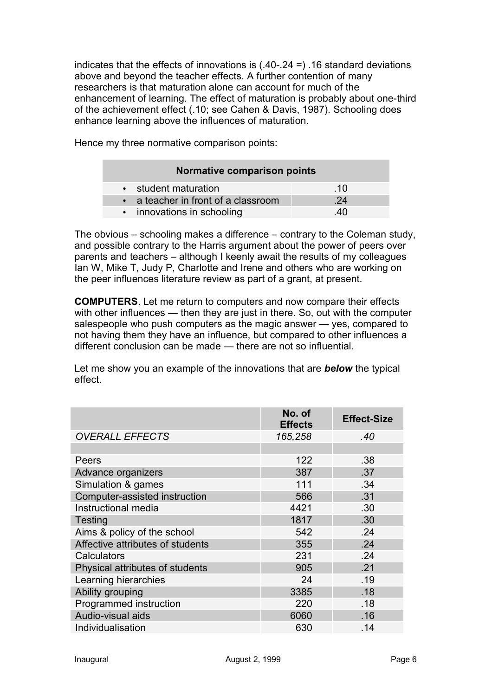indicates that the effects of innovations is (.40-.24 =) .16 standard deviations above and beyond the teacher effects. A further contention of many researchers is that maturation alone can account for much of the enhancement of learning. The effect of maturation is probably about one-third of the achievement effect (.10; see Cahen & Davis, 1987). Schooling does enhance learning above the influences of maturation.

Hence my three normative comparison points:

| Normative comparison points         |     |  |
|-------------------------------------|-----|--|
| • student maturation                | .10 |  |
| • a teacher in front of a classroom | 24  |  |
| • innovations in schooling          | 40  |  |

The obvious – schooling makes a difference – contrary to the Coleman study, and possible contrary to the Harris argument about the power of peers over parents and teachers – although I keenly await the results of my colleagues Ian W, Mike T, Judy P, Charlotte and Irene and others who are working on the peer influences literature review as part of a grant, at present.

**COMPUTERS**. Let me return to computers and now compare their effects with other influences — then they are just in there. So, out with the computer salespeople who push computers as the magic answer — yes, compared to not having them they have an influence, but compared to other influences a different conclusion can be made — there are not so influential.

Let me show you an example of the innovations that are *below* the typical effect.

|                                  | No. of<br><b>Effects</b> | <b>Effect-Size</b> |
|----------------------------------|--------------------------|--------------------|
| <b>OVERALL EFFECTS</b>           | 165,258                  | .40                |
|                                  |                          |                    |
| Peers                            | 122                      | .38                |
| Advance organizers               | 387                      | .37                |
| Simulation & games               | 111                      | .34                |
| Computer-assisted instruction    | 566                      | .31                |
| Instructional media              | 4421                     | .30                |
| <b>Testing</b>                   | 1817                     | .30                |
| Aims & policy of the school      | 542                      | .24                |
| Affective attributes of students | 355                      | .24                |
| Calculators                      | 231                      | .24                |
| Physical attributes of students  | 905                      | .21                |
| Learning hierarchies             | 24                       | .19                |
| Ability grouping                 | 3385                     | .18                |
| Programmed instruction           | 220                      | .18                |
| Audio-visual aids                | 6060                     | .16                |
| Individualisation                | 630                      | .14                |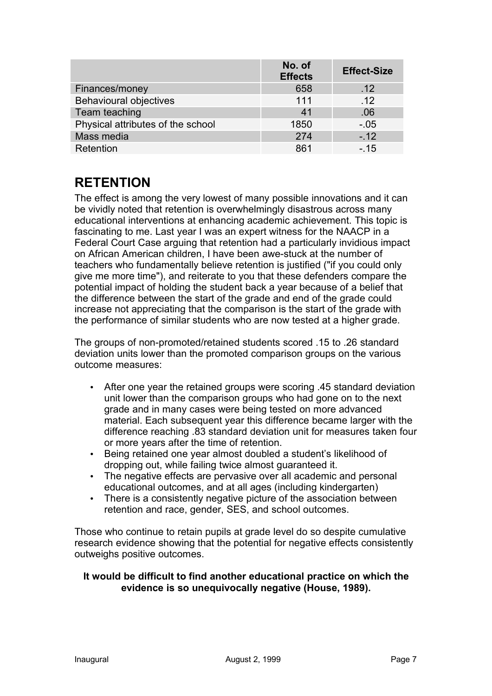|                                   | No. of<br><b>Effects</b> | <b>Effect-Size</b> |
|-----------------------------------|--------------------------|--------------------|
| Finances/money                    | 658                      | .12                |
| <b>Behavioural objectives</b>     | 111                      | .12                |
| Team teaching                     | 41                       | .06                |
| Physical attributes of the school | 1850                     | $-.05$             |
| Mass media                        | 274                      | $-12$              |
| Retention                         | 861                      | $-.15$             |

# **RETENTION**

The effect is among the very lowest of many possible innovations and it can be vividly noted that retention is overwhelmingly disastrous across many educational interventions at enhancing academic achievement. This topic is fascinating to me. Last year I was an expert witness for the NAACP in a Federal Court Case arguing that retention had a particularly invidious impact on African American children, I have been awe-stuck at the number of teachers who fundamentally believe retention is justified ("if you could only give me more time"), and reiterate to you that these defenders compare the potential impact of holding the student back a year because of a belief that the difference between the start of the grade and end of the grade could increase not appreciating that the comparison is the start of the grade with the performance of similar students who are now tested at a higher grade.

The groups of non-promoted/retained students scored .15 to .26 standard deviation units lower than the promoted comparison groups on the various outcome measures:

- After one year the retained groups were scoring .45 standard deviation unit lower than the comparison groups who had gone on to the next grade and in many cases were being tested on more advanced material. Each subsequent year this difference became larger with the difference reaching .83 standard deviation unit for measures taken four or more years after the time of retention.
- Being retained one year almost doubled a student's likelihood of dropping out, while failing twice almost guaranteed it.
- The negative effects are pervasive over all academic and personal educational outcomes, and at all ages (including kindergarten)
- There is a consistently negative picture of the association between retention and race, gender, SES, and school outcomes.

Those who continue to retain pupils at grade level do so despite cumulative research evidence showing that the potential for negative effects consistently outweighs positive outcomes.

## **It would be difficult to find another educational practice on which the evidence is so unequivocally negative (House, 1989).**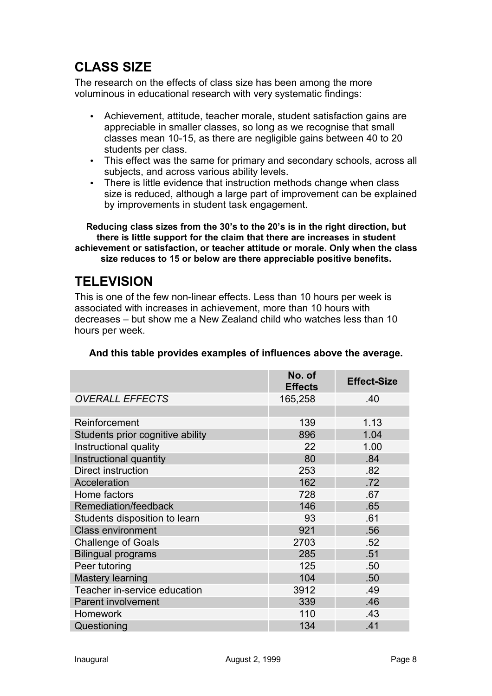# **CLASS SIZE**

The research on the effects of class size has been among the more voluminous in educational research with very systematic findings:

- Achievement, attitude, teacher morale, student satisfaction gains are appreciable in smaller classes, so long as we recognise that small classes mean 10-15, as there are negligible gains between 40 to 20 students per class.
- This effect was the same for primary and secondary schools, across all subjects, and across various ability levels.
- There is little evidence that instruction methods change when class size is reduced, although a large part of improvement can be explained by improvements in student task engagement.

**Reducing class sizes from the 30's to the 20's is in the right direction, but there is little support for the claim that there are increases in student achievement or satisfaction, or teacher attitude or morale. Only when the class size reduces to 15 or below are there appreciable positive benefits.**

# **TELEVISION**

This is one of the few non-linear effects. Less than 10 hours per week is associated with increases in achievement, more than 10 hours with decreases – but show me a New Zealand child who watches less than 10 hours per week.

|                                  | No. of<br><b>Effects</b> | <b>Effect-Size</b> |
|----------------------------------|--------------------------|--------------------|
| <b>OVERALL EFFECTS</b>           | 165,258                  | .40                |
|                                  |                          |                    |
| Reinforcement                    | 139                      | 1.13               |
| Students prior cognitive ability | 896                      | 1.04               |
| Instructional quality            | 22                       | 1.00               |
| Instructional quantity           | 80                       | .84                |
| Direct instruction               | 253                      | .82                |
| Acceleration                     | 162                      | .72                |
| Home factors                     | 728                      | .67                |
| Remediation/feedback             | 146                      | .65                |
| Students disposition to learn    | 93                       | .61                |
| <b>Class environment</b>         | 921                      | .56                |
| <b>Challenge of Goals</b>        | 2703                     | .52                |
| <b>Bilingual programs</b>        | 285                      | .51                |
| Peer tutoring                    | 125                      | .50                |
| Mastery learning                 | 104                      | .50                |
| Teacher in-service education     | 3912                     | .49                |
| <b>Parent involvement</b>        | 339                      | .46                |
| <b>Homework</b>                  | 110                      | .43                |
| Questioning                      | 134                      | .41                |

## **And this table provides examples of influences above the average.**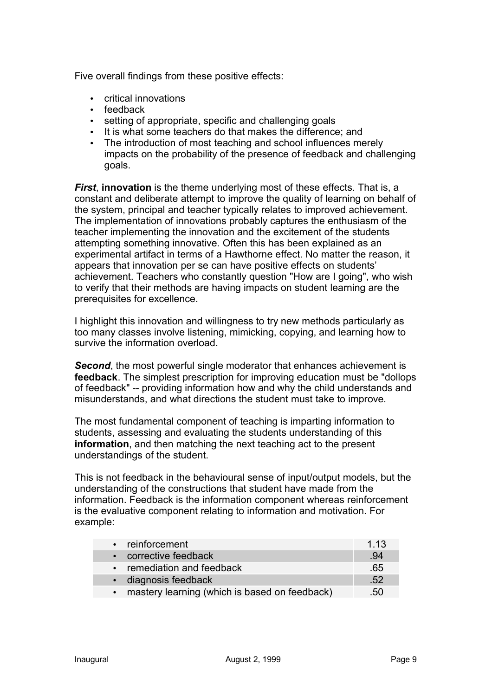Five overall findings from these positive effects:

- critical innovations
- feedback
- setting of appropriate, specific and challenging goals
- It is what some teachers do that makes the difference; and
- The introduction of most teaching and school influences merely impacts on the probability of the presence of feedback and challenging goals.

*First*, **innovation** is the theme underlying most of these effects. That is, a constant and deliberate attempt to improve the quality of learning on behalf of the system, principal and teacher typically relates to improved achievement. The implementation of innovations probably captures the enthusiasm of the teacher implementing the innovation and the excitement of the students attempting something innovative. Often this has been explained as an experimental artifact in terms of a Hawthorne effect. No matter the reason, it appears that innovation per se can have positive effects on students' achievement. Teachers who constantly question "How are I going", who wish to verify that their methods are having impacts on student learning are the prerequisites for excellence.

I highlight this innovation and willingness to try new methods particularly as too many classes involve listening, mimicking, copying, and learning how to survive the information overload.

**Second**, the most powerful single moderator that enhances achievement is **feedback**. The simplest prescription for improving education must be "dollops of feedback" -- providing information how and why the child understands and misunderstands, and what directions the student must take to improve.

The most fundamental component of teaching is imparting information to students, assessing and evaluating the students understanding of this **information**, and then matching the next teaching act to the present understandings of the student.

This is not feedback in the behavioural sense of input/output models, but the understanding of the constructions that student have made from the information. Feedback is the information component whereas reinforcement is the evaluative component relating to information and motivation. For example:

| • reinforcement                                 | 1.13 |
|-------------------------------------------------|------|
| • corrective feedback                           | .94  |
| • remediation and feedback                      | .65  |
| · diagnosis feedback                            | .52  |
| • mastery learning (which is based on feedback) | .50  |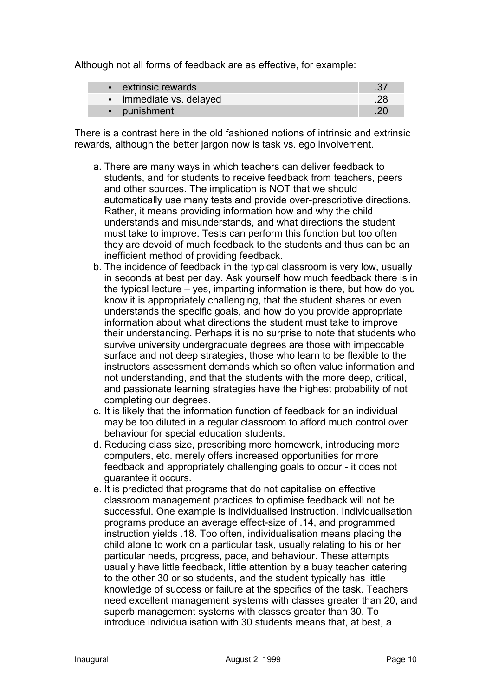Although not all forms of feedback are as effective, for example:

| • extrinsic rewards     |  |
|-------------------------|--|
| • immediate vs. delayed |  |
| • punishment            |  |

There is a contrast here in the old fashioned notions of intrinsic and extrinsic rewards, although the better jargon now is task vs. ego involvement.

- a. There are many ways in which teachers can deliver feedback to students, and for students to receive feedback from teachers, peers and other sources. The implication is NOT that we should automatically use many tests and provide over-prescriptive directions. Rather, it means providing information how and why the child understands and misunderstands, and what directions the student must take to improve. Tests can perform this function but too often they are devoid of much feedback to the students and thus can be an inefficient method of providing feedback.
- b. The incidence of feedback in the typical classroom is very low, usually in seconds at best per day. Ask yourself how much feedback there is in the typical lecture – yes, imparting information is there, but how do you know it is appropriately challenging, that the student shares or even understands the specific goals, and how do you provide appropriate information about what directions the student must take to improve their understanding. Perhaps it is no surprise to note that students who survive university undergraduate degrees are those with impeccable surface and not deep strategies, those who learn to be flexible to the instructors assessment demands which so often value information and not understanding, and that the students with the more deep, critical, and passionate learning strategies have the highest probability of not completing our degrees.
- c. It is likely that the information function of feedback for an individual may be too diluted in a regular classroom to afford much control over behaviour for special education students.
- d. Reducing class size, prescribing more homework, introducing more computers, etc. merely offers increased opportunities for more feedback and appropriately challenging goals to occur - it does not guarantee it occurs.
- e. It is predicted that programs that do not capitalise on effective classroom management practices to optimise feedback will not be successful. One example is individualised instruction. Individualisation programs produce an average effect-size of .14, and programmed instruction yields .18. Too often, individualisation means placing the child alone to work on a particular task, usually relating to his or her particular needs, progress, pace, and behaviour. These attempts usually have little feedback, little attention by a busy teacher catering to the other 30 or so students, and the student typically has little knowledge of success or failure at the specifics of the task. Teachers need excellent management systems with classes greater than 20, and superb management systems with classes greater than 30. To introduce individualisation with 30 students means that, at best, a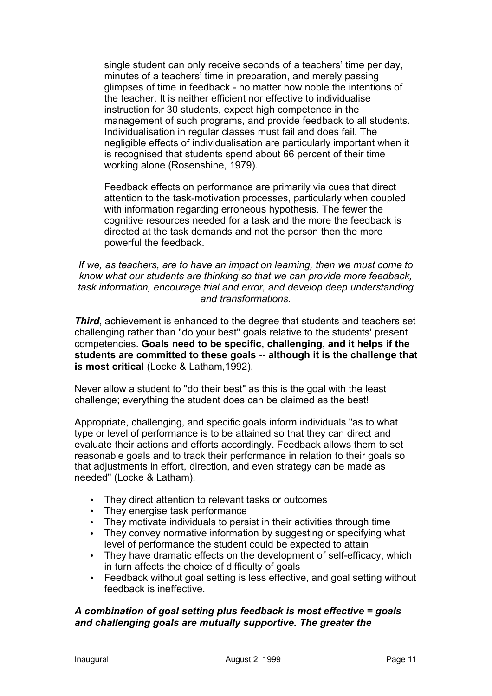single student can only receive seconds of a teachers' time per day, minutes of a teachers' time in preparation, and merely passing glimpses of time in feedback - no matter how noble the intentions of the teacher. It is neither efficient nor effective to individualise instruction for 30 students, expect high competence in the management of such programs, and provide feedback to all students. Individualisation in regular classes must fail and does fail. The negligible effects of individualisation are particularly important when it is recognised that students spend about 66 percent of their time working alone (Rosenshine, 1979).

Feedback effects on performance are primarily via cues that direct attention to the task-motivation processes, particularly when coupled with information regarding erroneous hypothesis. The fewer the cognitive resources needed for a task and the more the feedback is directed at the task demands and not the person then the more powerful the feedback.

#### *If we, as teachers, are to have an impact on learning, then we must come to know what our students are thinking so that we can provide more feedback, task information, encourage trial and error, and develop deep understanding and transformations.*

*Third*, achievement is enhanced to the degree that students and teachers set challenging rather than "do your best" goals relative to the students' present competencies. **Goals need to be specific, challenging, and it helps if the students are committed to these goals -- although it is the challenge that is most critical** (Locke & Latham,1992).

Never allow a student to "do their best" as this is the goal with the least challenge; everything the student does can be claimed as the best!

Appropriate, challenging, and specific goals inform individuals "as to what type or level of performance is to be attained so that they can direct and evaluate their actions and efforts accordingly. Feedback allows them to set reasonable goals and to track their performance in relation to their goals so that adjustments in effort, direction, and even strategy can be made as needed" (Locke & Latham).

- They direct attention to relevant tasks or outcomes
- They energise task performance
- They motivate individuals to persist in their activities through time
- They convey normative information by suggesting or specifying what level of performance the student could be expected to attain
- They have dramatic effects on the development of self-efficacy, which in turn affects the choice of difficulty of goals
- Feedback without goal setting is less effective, and goal setting without feedback is ineffective.

## *A combination of goal setting plus feedback is most effective = goals and challenging goals are mutually supportive. The greater the*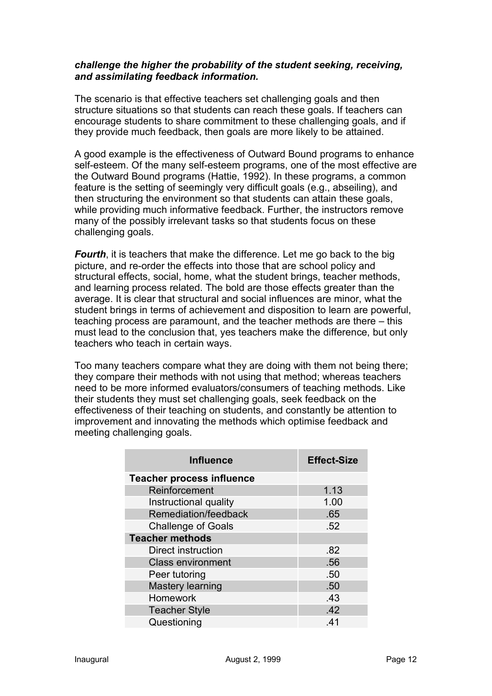#### *challenge the higher the probability of the student seeking, receiving, and assimilating feedback information.*

The scenario is that effective teachers set challenging goals and then structure situations so that students can reach these goals. If teachers can encourage students to share commitment to these challenging goals, and if they provide much feedback, then goals are more likely to be attained.

A good example is the effectiveness of Outward Bound programs to enhance self-esteem. Of the many self-esteem programs, one of the most effective are the Outward Bound programs (Hattie, 1992). In these programs, a common feature is the setting of seemingly very difficult goals (e.g., abseiling), and then structuring the environment so that students can attain these goals, while providing much informative feedback. Further, the instructors remove many of the possibly irrelevant tasks so that students focus on these challenging goals.

*Fourth*, it is teachers that make the difference. Let me go back to the big picture, and re-order the effects into those that are school policy and structural effects, social, home, what the student brings, teacher methods, and learning process related. The bold are those effects greater than the average. It is clear that structural and social influences are minor, what the student brings in terms of achievement and disposition to learn are powerful, teaching process are paramount, and the teacher methods are there – this must lead to the conclusion that, yes teachers make the difference, but only teachers who teach in certain ways.

Too many teachers compare what they are doing with them not being there; they compare their methods with not using that method; whereas teachers need to be more informed evaluators/consumers of teaching methods. Like their students they must set challenging goals, seek feedback on the effectiveness of their teaching on students, and constantly be attention to improvement and innovating the methods which optimise feedback and meeting challenging goals.

| <b>Influence</b>                 | <b>Effect-Size</b> |
|----------------------------------|--------------------|
| <b>Teacher process influence</b> |                    |
| Reinforcement                    | 1.13               |
| Instructional quality            | 1.00               |
| Remediation/feedback             | .65                |
| <b>Challenge of Goals</b>        | .52                |
| <b>Teacher methods</b>           |                    |
| Direct instruction               | .82                |
| <b>Class environment</b>         | .56                |
| Peer tutoring                    | .50                |
| <b>Mastery learning</b>          | .50                |
| <b>Homework</b>                  | .43                |
| <b>Teacher Style</b>             | .42                |
| Questioning                      | .41                |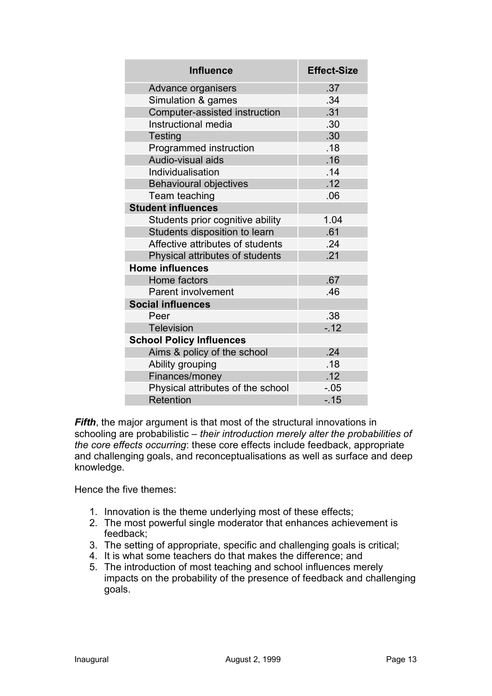| <b>Influence</b>                  | <b>Effect-Size</b> |
|-----------------------------------|--------------------|
| Advance organisers                | .37                |
| Simulation & games                | .34                |
| Computer-assisted instruction     | .31                |
| Instructional media               | .30                |
| <b>Testing</b>                    | .30                |
| Programmed instruction            | .18                |
| Audio-visual aids                 | .16                |
| Individualisation                 | .14                |
| <b>Behavioural objectives</b>     | .12                |
| Team teaching                     | .06                |
| <b>Student influences</b>         |                    |
| Students prior cognitive ability  | 1.04               |
| Students disposition to learn     | .61                |
| Affective attributes of students  | .24                |
| Physical attributes of students   | .21                |
| <b>Home influences</b>            |                    |
| Home factors                      | .67                |
| <b>Parent involvement</b>         | .46                |
| <b>Social influences</b>          |                    |
| Peer                              | .38                |
| <b>Television</b>                 | $-12$              |
| <b>School Policy Influences</b>   |                    |
| Aims & policy of the school       | .24                |
| Ability grouping                  | .18                |
| Finances/money                    | .12                |
| Physical attributes of the school | $-0.05$            |
| Retention                         | $-15$              |

*Fifth*, the major argument is that most of the structural innovations in schooling are probabilistic – *their introduction merely alter the probabilities of the core effects occurring*: these core effects include feedback, appropriate and challenging goals, and reconceptualisations as well as surface and deep knowledge.

Hence the five themes:

- 1. Innovation is the theme underlying most of these effects;
- 2. The most powerful single moderator that enhances achievement is feedback;
- 3. The setting of appropriate, specific and challenging goals is critical;
- 4. It is what some teachers do that makes the difference; and
- 5. The introduction of most teaching and school influences merely impacts on the probability of the presence of feedback and challenging goals.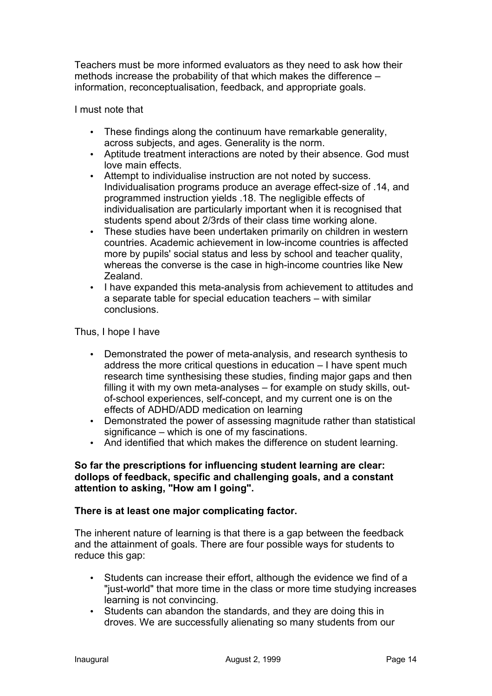Teachers must be more informed evaluators as they need to ask how their methods increase the probability of that which makes the difference – information, reconceptualisation, feedback, and appropriate goals.

I must note that

- These findings along the continuum have remarkable generality, across subjects, and ages. Generality is the norm.
- Aptitude treatment interactions are noted by their absence. God must love main effects.
- Attempt to individualise instruction are not noted by success. Individualisation programs produce an average effect-size of .14, and programmed instruction yields .18. The negligible effects of individualisation are particularly important when it is recognised that students spend about 2/3rds of their class time working alone.
- These studies have been undertaken primarily on children in western countries. Academic achievement in low-income countries is affected more by pupils' social status and less by school and teacher quality, whereas the converse is the case in high-income countries like New Zealand.
- I have expanded this meta-analysis from achievement to attitudes and a separate table for special education teachers – with similar conclusions.

Thus, I hope I have

- Demonstrated the power of meta-analysis, and research synthesis to address the more critical questions in education – I have spent much research time synthesising these studies, finding major gaps and then filling it with my own meta-analyses – for example on study skills, outof-school experiences, self-concept, and my current one is on the effects of ADHD/ADD medication on learning
- Demonstrated the power of assessing magnitude rather than statistical significance – which is one of my fascinations.
- And identified that which makes the difference on student learning.

#### **So far the prescriptions for influencing student learning are clear: dollops of feedback, specific and challenging goals, and a constant attention to asking, "How am I going".**

## **There is at least one major complicating factor.**

The inherent nature of learning is that there is a gap between the feedback and the attainment of goals. There are four possible ways for students to reduce this gap:

- Students can increase their effort, although the evidence we find of a "just-world" that more time in the class or more time studying increases learning is not convincing.
- Students can abandon the standards, and they are doing this in droves. We are successfully alienating so many students from our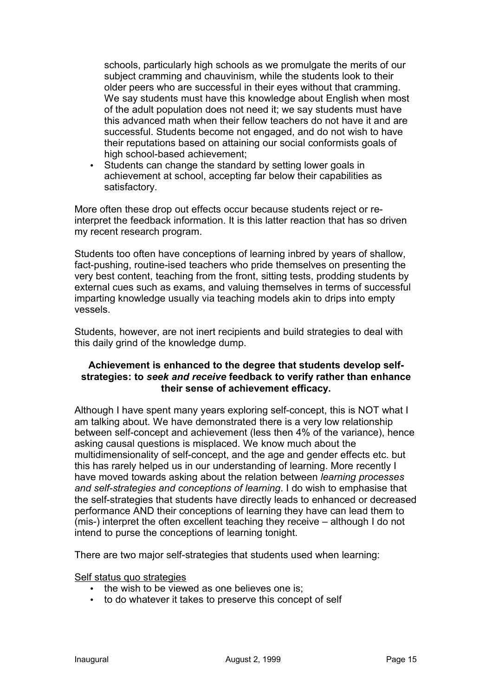schools, particularly high schools as we promulgate the merits of our subject cramming and chauvinism, while the students look to their older peers who are successful in their eyes without that cramming. We say students must have this knowledge about English when most of the adult population does not need it; we say students must have this advanced math when their fellow teachers do not have it and are successful. Students become not engaged, and do not wish to have their reputations based on attaining our social conformists goals of high school-based achievement;

Students can change the standard by setting lower goals in achievement at school, accepting far below their capabilities as satisfactory.

More often these drop out effects occur because students reject or reinterpret the feedback information. It is this latter reaction that has so driven my recent research program.

Students too often have conceptions of learning inbred by years of shallow, fact-pushing, routine-ised teachers who pride themselves on presenting the very best content, teaching from the front, sitting tests, prodding students by external cues such as exams, and valuing themselves in terms of successful imparting knowledge usually via teaching models akin to drips into empty vessels.

Students, however, are not inert recipients and build strategies to deal with this daily grind of the knowledge dump.

#### **Achievement is enhanced to the degree that students develop selfstrategies: to** *seek and receive* **feedback to verify rather than enhance their sense of achievement efficacy.**

Although I have spent many years exploring self-concept, this is NOT what I am talking about. We have demonstrated there is a very low relationship between self-concept and achievement (less then 4% of the variance), hence asking causal questions is misplaced. We know much about the multidimensionality of self-concept, and the age and gender effects etc. but this has rarely helped us in our understanding of learning. More recently I have moved towards asking about the relation between *learning processes and self-strategies and conceptions of learning*. I do wish to emphasise that the self-strategies that students have directly leads to enhanced or decreased performance AND their conceptions of learning they have can lead them to (mis-) interpret the often excellent teaching they receive – although I do not intend to purse the conceptions of learning tonight.

There are two major self-strategies that students used when learning:

#### Self status quo strategies

- the wish to be viewed as one believes one is;
- to do whatever it takes to preserve this concept of self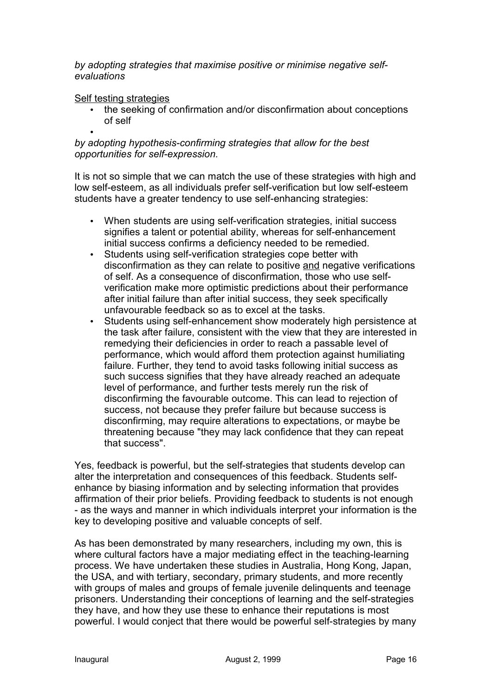*by adopting strategies that maximise positive or minimise negative selfevaluations*

#### Self testing strategies

- the seeking of confirmation and/or disconfirmation about conceptions of self
- •

## *by adopting hypothesis-confirming strategies that allow for the best opportunities for self-expression.*

It is not so simple that we can match the use of these strategies with high and low self-esteem, as all individuals prefer self-verification but low self-esteem students have a greater tendency to use self-enhancing strategies:

- When students are using self-verification strategies, initial success signifies a talent or potential ability, whereas for self-enhancement initial success confirms a deficiency needed to be remedied.
- Students using self-verification strategies cope better with disconfirmation as they can relate to positive and negative verifications of self. As a consequence of disconfirmation, those who use selfverification make more optimistic predictions about their performance after initial failure than after initial success, they seek specifically unfavourable feedback so as to excel at the tasks.
- Students using self-enhancement show moderately high persistence at the task after failure, consistent with the view that they are interested in remedying their deficiencies in order to reach a passable level of performance, which would afford them protection against humiliating failure. Further, they tend to avoid tasks following initial success as such success signifies that they have already reached an adequate level of performance, and further tests merely run the risk of disconfirming the favourable outcome. This can lead to rejection of success, not because they prefer failure but because success is disconfirming, may require alterations to expectations, or maybe be threatening because "they may lack confidence that they can repeat that success".

Yes, feedback is powerful, but the self-strategies that students develop can alter the interpretation and consequences of this feedback. Students selfenhance by biasing information and by selecting information that provides affirmation of their prior beliefs. Providing feedback to students is not enough - as the ways and manner in which individuals interpret your information is the key to developing positive and valuable concepts of self.

As has been demonstrated by many researchers, including my own, this is where cultural factors have a major mediating effect in the teaching-learning process. We have undertaken these studies in Australia, Hong Kong, Japan, the USA, and with tertiary, secondary, primary students, and more recently with groups of males and groups of female juvenile delinquents and teenage prisoners. Understanding their conceptions of learning and the self-strategies they have, and how they use these to enhance their reputations is most powerful. I would conject that there would be powerful self-strategies by many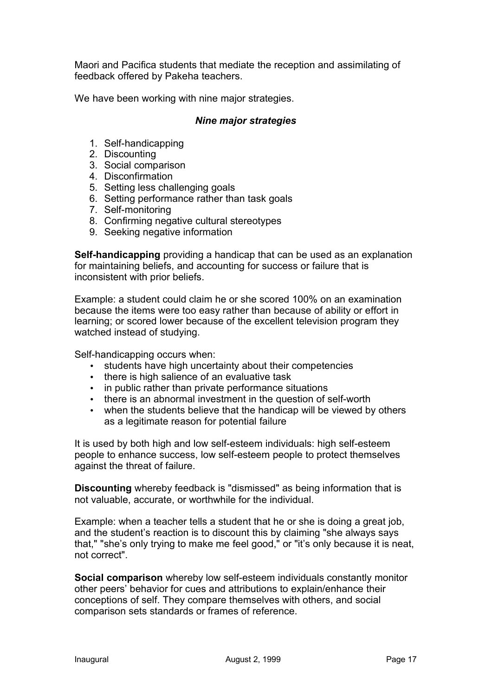Maori and Pacifica students that mediate the reception and assimilating of feedback offered by Pakeha teachers.

We have been working with nine major strategies.

#### *Nine major strategies*

- 1. Self-handicapping
- 2. Discounting
- 3. Social comparison
- 4. Disconfirmation
- 5. Setting less challenging goals
- 6. Setting performance rather than task goals
- 7. Self-monitoring
- 8. Confirming negative cultural stereotypes
- 9. Seeking negative information

**Self-handicapping** providing a handicap that can be used as an explanation for maintaining beliefs, and accounting for success or failure that is inconsistent with prior beliefs.

Example: a student could claim he or she scored 100% on an examination because the items were too easy rather than because of ability or effort in learning; or scored lower because of the excellent television program they watched instead of studying.

Self-handicapping occurs when:

- students have high uncertainty about their competencies
- there is high salience of an evaluative task
- in public rather than private performance situations
- there is an abnormal investment in the question of self-worth
- when the students believe that the handicap will be viewed by others as a legitimate reason for potential failure

It is used by both high and low self-esteem individuals: high self-esteem people to enhance success, low self-esteem people to protect themselves against the threat of failure.

**Discounting** whereby feedback is "dismissed" as being information that is not valuable, accurate, or worthwhile for the individual.

Example: when a teacher tells a student that he or she is doing a great job, and the student's reaction is to discount this by claiming "she always says that," "she's only trying to make me feel good," or "it's only because it is neat, not correct".

**Social comparison** whereby low self-esteem individuals constantly monitor other peers' behavior for cues and attributions to explain/enhance their conceptions of self. They compare themselves with others, and social comparison sets standards or frames of reference.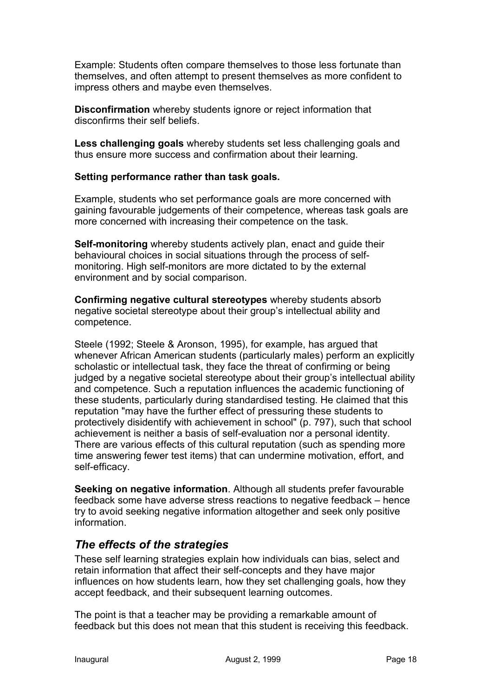Example: Students often compare themselves to those less fortunate than themselves, and often attempt to present themselves as more confident to impress others and maybe even themselves.

**Disconfirmation** whereby students ignore or reject information that disconfirms their self beliefs.

**Less challenging goals** whereby students set less challenging goals and thus ensure more success and confirmation about their learning.

#### **Setting performance rather than task goals.**

Example, students who set performance goals are more concerned with gaining favourable judgements of their competence, whereas task goals are more concerned with increasing their competence on the task.

**Self-monitoring** whereby students actively plan, enact and guide their behavioural choices in social situations through the process of selfmonitoring. High self-monitors are more dictated to by the external environment and by social comparison.

**Confirming negative cultural stereotypes** whereby students absorb negative societal stereotype about their group's intellectual ability and competence.

Steele (1992; Steele & Aronson, 1995), for example, has argued that whenever African American students (particularly males) perform an explicitly scholastic or intellectual task, they face the threat of confirming or being judged by a negative societal stereotype about their group's intellectual ability and competence. Such a reputation influences the academic functioning of these students, particularly during standardised testing. He claimed that this reputation "may have the further effect of pressuring these students to protectively disidentify with achievement in school" (p. 797), such that school achievement is neither a basis of self-evaluation nor a personal identity. There are various effects of this cultural reputation (such as spending more time answering fewer test items) that can undermine motivation, effort, and self-efficacy.

**Seeking on negative information**. Although all students prefer favourable feedback some have adverse stress reactions to negative feedback – hence try to avoid seeking negative information altogether and seek only positive information.

## *The effects of the strategies*

These self learning strategies explain how individuals can bias, select and retain information that affect their self-concepts and they have major influences on how students learn, how they set challenging goals, how they accept feedback, and their subsequent learning outcomes.

The point is that a teacher may be providing a remarkable amount of feedback but this does not mean that this student is receiving this feedback.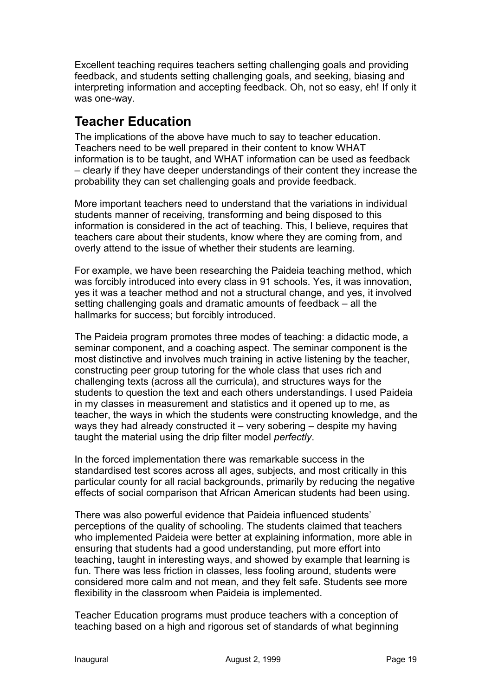Excellent teaching requires teachers setting challenging goals and providing feedback, and students setting challenging goals, and seeking, biasing and interpreting information and accepting feedback. Oh, not so easy, eh! If only it was one-way.

# **Teacher Education**

The implications of the above have much to say to teacher education. Teachers need to be well prepared in their content to know WHAT information is to be taught, and WHAT information can be used as feedback – clearly if they have deeper understandings of their content they increase the probability they can set challenging goals and provide feedback.

More important teachers need to understand that the variations in individual students manner of receiving, transforming and being disposed to this information is considered in the act of teaching. This, I believe, requires that teachers care about their students, know where they are coming from, and overly attend to the issue of whether their students are learning.

For example, we have been researching the Paideia teaching method, which was forcibly introduced into every class in 91 schools. Yes, it was innovation, yes it was a teacher method and not a structural change, and yes, it involved setting challenging goals and dramatic amounts of feedback – all the hallmarks for success; but forcibly introduced.

The Paideia program promotes three modes of teaching: a didactic mode, a seminar component, and a coaching aspect. The seminar component is the most distinctive and involves much training in active listening by the teacher, constructing peer group tutoring for the whole class that uses rich and challenging texts (across all the curricula), and structures ways for the students to question the text and each others understandings. I used Paideia in my classes in measurement and statistics and it opened up to me, as teacher, the ways in which the students were constructing knowledge, and the ways they had already constructed it – very sobering – despite my having taught the material using the drip filter model *perfectly*.

In the forced implementation there was remarkable success in the standardised test scores across all ages, subjects, and most critically in this particular county for all racial backgrounds, primarily by reducing the negative effects of social comparison that African American students had been using.

There was also powerful evidence that Paideia influenced students' perceptions of the quality of schooling. The students claimed that teachers who implemented Paideia were better at explaining information, more able in ensuring that students had a good understanding, put more effort into teaching, taught in interesting ways, and showed by example that learning is fun. There was less friction in classes, less fooling around, students were considered more calm and not mean, and they felt safe. Students see more flexibility in the classroom when Paideia is implemented.

Teacher Education programs must produce teachers with a conception of teaching based on a high and rigorous set of standards of what beginning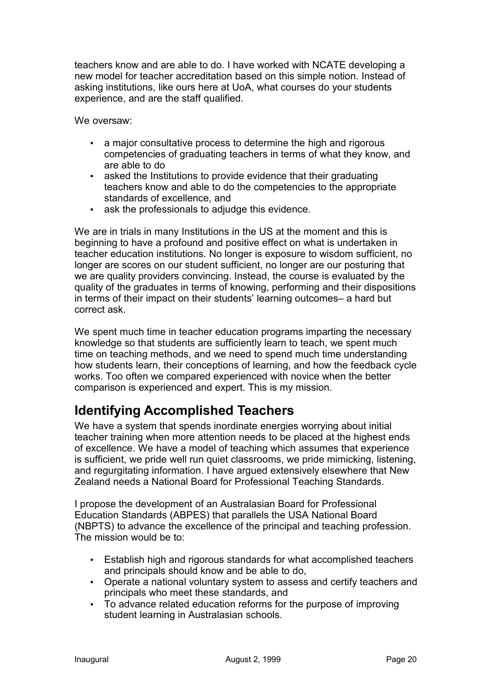teachers know and are able to do. I have worked with NCATE developing a new model for teacher accreditation based on this simple notion. Instead of asking institutions, like ours here at UoA, what courses do your students experience, and are the staff qualified.

We oversaw:

- a major consultative process to determine the high and rigorous competencies of graduating teachers in terms of what they know, and are able to do
- asked the Institutions to provide evidence that their graduating teachers know and able to do the competencies to the appropriate standards of excellence, and
- ask the professionals to adjudge this evidence.

We are in trials in many Institutions in the US at the moment and this is beginning to have a profound and positive effect on what is undertaken in teacher education institutions. No longer is exposure to wisdom sufficient, no longer are scores on our student sufficient, no longer are our posturing that we are quality providers convincing. Instead, the course is evaluated by the quality of the graduates in terms of knowing, performing and their dispositions in terms of their impact on their students' learning outcomes– a hard but correct ask.

We spent much time in teacher education programs imparting the necessary knowledge so that students are sufficiently learn to teach, we spent much time on teaching methods, and we need to spend much time understanding how students learn, their conceptions of learning, and how the feedback cycle works. Too often we compared experienced with novice when the better comparison is experienced and expert. This is my mission.

# **Identifying Accomplished Teachers**

We have a system that spends inordinate energies worrying about initial teacher training when more attention needs to be placed at the highest ends of excellence. We have a model of teaching which assumes that experience is sufficient, we pride well run quiet classrooms, we pride mimicking, listening, and regurgitating information. I have argued extensively elsewhere that New Zealand needs a National Board for Professional Teaching Standards.

I propose the development of an Australasian Board for Professional Education Standards (ABPES) that parallels the USA National Board (NBPTS) to advance the excellence of the principal and teaching profession. The mission would be to:

- Establish high and rigorous standards for what accomplished teachers and principals should know and be able to do,
- Operate a national voluntary system to assess and certify teachers and principals who meet these standards, and
- To advance related education reforms for the purpose of improving student learning in Australasian schools.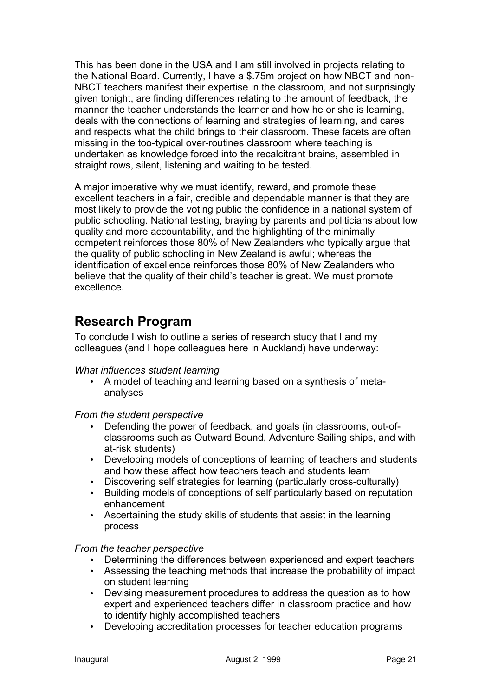This has been done in the USA and I am still involved in projects relating to the National Board. Currently, I have a \$.75m project on how NBCT and non-NBCT teachers manifest their expertise in the classroom, and not surprisingly given tonight, are finding differences relating to the amount of feedback, the manner the teacher understands the learner and how he or she is learning, deals with the connections of learning and strategies of learning, and cares and respects what the child brings to their classroom. These facets are often missing in the too-typical over-routines classroom where teaching is undertaken as knowledge forced into the recalcitrant brains, assembled in straight rows, silent, listening and waiting to be tested.

A major imperative why we must identify, reward, and promote these excellent teachers in a fair, credible and dependable manner is that they are most likely to provide the voting public the confidence in a national system of public schooling. National testing, braying by parents and politicians about low quality and more accountability, and the highlighting of the minimally competent reinforces those 80% of New Zealanders who typically argue that the quality of public schooling in New Zealand is awful; whereas the identification of excellence reinforces those 80% of New Zealanders who believe that the quality of their child's teacher is great. We must promote excellence.

## **Research Program**

To conclude I wish to outline a series of research study that I and my colleagues (and I hope colleagues here in Auckland) have underway:

## *What influences student learning*

• A model of teaching and learning based on a synthesis of metaanalyses

## *From the student perspective*

- Defending the power of feedback, and goals (in classrooms, out-ofclassrooms such as Outward Bound, Adventure Sailing ships, and with at-risk students)
- Developing models of conceptions of learning of teachers and students and how these affect how teachers teach and students learn
- Discovering self strategies for learning (particularly cross-culturally)
- Building models of conceptions of self particularly based on reputation enhancement
- Ascertaining the study skills of students that assist in the learning process

## *From the teacher perspective*

- Determining the differences between experienced and expert teachers
- Assessing the teaching methods that increase the probability of impact on student learning
- Devising measurement procedures to address the question as to how expert and experienced teachers differ in classroom practice and how to identify highly accomplished teachers
- Developing accreditation processes for teacher education programs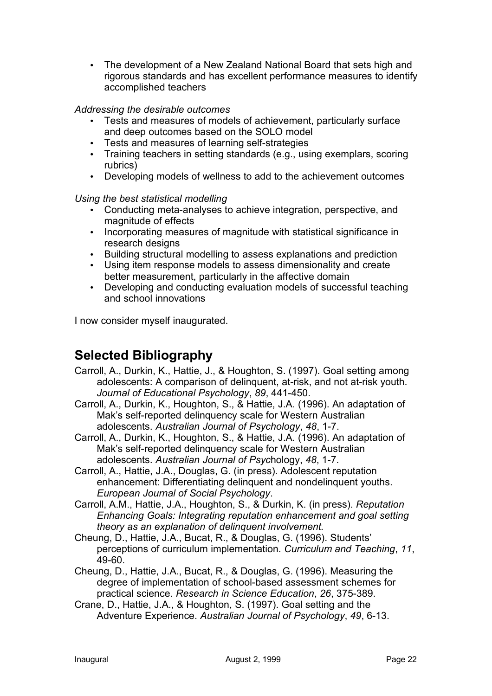• The development of a New Zealand National Board that sets high and rigorous standards and has excellent performance measures to identify accomplished teachers

## *Addressing the desirable outcomes*

- Tests and measures of models of achievement, particularly surface and deep outcomes based on the SOLO model
- Tests and measures of learning self-strategies
- Training teachers in setting standards (e.g., using exemplars, scoring rubrics)
- Developing models of wellness to add to the achievement outcomes

#### *Using the best statistical modelling*

- Conducting meta-analyses to achieve integration, perspective, and magnitude of effects
- Incorporating measures of magnitude with statistical significance in research designs
- Building structural modelling to assess explanations and prediction<br>• Using item response models to assess dimensionality and create
- Using item response models to assess dimensionality and create better measurement, particularly in the affective domain
- Developing and conducting evaluation models of successful teaching and school innovations

I now consider myself inaugurated.

## **Selected Bibliography**

- Carroll, A., Durkin, K., Hattie, J., & Houghton, S. (1997). Goal setting among adolescents: A comparison of delinquent, at-risk, and not at-risk youth. *Journal of Educational Psychology*, *89*, 441-450.
- Carroll, A., Durkin, K., Houghton, S., & Hattie, J.A. (1996). An adaptation of Mak's self-reported delinquency scale for Western Australian adolescents. *Australian Journal of Psychology*, *48*, 1-7.
- Carroll, A., Durkin, K., Houghton, S., & Hattie, J.A. (1996). An adaptation of Mak's self-reported delinquency scale for Western Australian adolescents. *Australian Journal of Psyc*hology, *48*, 1-7.
- Carroll, A., Hattie, J.A., Douglas, G. (in press). Adolescent reputation enhancement: Differentiating delinquent and nondelinquent youths. *European Journal of Social Psychology*.
- Carroll, A.M., Hattie, J.A., Houghton, S., & Durkin, K. (in press). *Reputation Enhancing Goals: Integrating reputation enhancement and goal setting theory as an explanation of delinquent involvement.*
- Cheung, D., Hattie, J.A., Bucat, R., & Douglas, G. (1996). Students' perceptions of curriculum implementation. *Curriculum and Teaching*, *11*, 49-60.
- Cheung, D., Hattie, J.A., Bucat, R., & Douglas, G. (1996). Measuring the degree of implementation of school-based assessment schemes for practical science. *Research in Science Education*, *26*, 375-389.
- Crane, D., Hattie, J.A., & Houghton, S. (1997). Goal setting and the Adventure Experience. *Australian Journal of Psychology*, *49*, 6-13.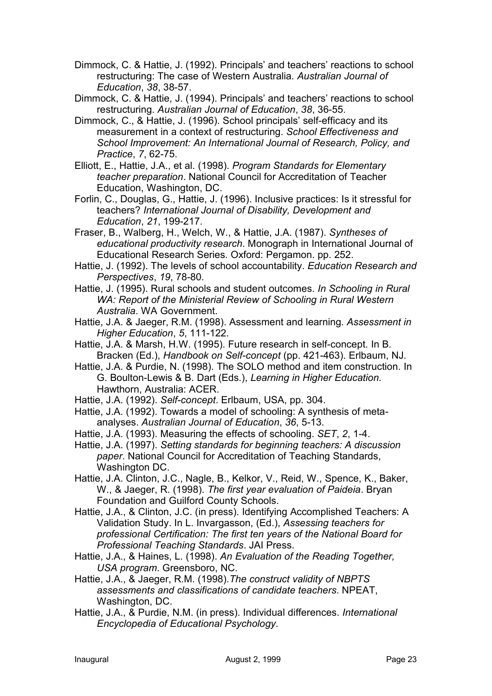- Dimmock, C. & Hattie, J. (1992). Principals' and teachers' reactions to school restructuring: The case of Western Australia. *Australian Journal of Education*, *38*, 38-57.
- Dimmock, C. & Hattie, J. (1994). Principals' and teachers' reactions to school restructuring. *Australian Journal of Education*, *38*, 36-55.
- Dimmock, C., & Hattie, J. (1996). School principals' self-efficacy and its measurement in a context of restructuring. *School Effectiveness and School Improvement: An International Journal of Research, Policy, and Practice*, *7*, 62-75.
- Elliott, E., Hattie, J.A., et al. (1998). *Program Standards for Elementary teacher preparation*. National Council for Accreditation of Teacher Education, Washington, DC.
- Forlin, C., Douglas, G., Hattie, J. (1996). Inclusive practices: Is it stressful for teachers? *International Journal of Disability, Development and Education*, *21*, 199-217.
- Fraser, B., Walberg, H., Welch, W., & Hattie, J.A. (1987). *Syntheses of educational productivity research*. Monograph in International Journal of Educational Research Series. Oxford: Pergamon. pp. 252.
- Hattie, J. (1992). The levels of school accountability. *Education Research and Perspectives*, *19*, 78-80.
- Hattie, J. (1995). Rural schools and student outcomes. *In Schooling in Rural WA: Report of the Ministerial Review of Schooling in Rural Western Australia*. WA Government.
- Hattie, J.A. & Jaeger, R.M. (1998). Assessment and learning. *Assessment in Higher Education*, *5*, 111-122.
- Hattie, J.A. & Marsh, H.W. (1995). Future research in self-concept. In B. Bracken (Ed.), *Handbook on Self-concept* (pp. 421-463). Erlbaum, NJ.
- Hattie, J.A. & Purdie, N. (1998). The SOLO method and item construction. In G. Boulton-Lewis & B. Dart (Eds.), *Learning in Higher Education.* Hawthorn, Australia: ACER.
- Hattie, J.A. (1992). *Self-concept*. Erlbaum, USA, pp. 304.
- Hattie, J.A. (1992). Towards a model of schooling: A synthesis of metaanalyses. *Australian Journal of Education*, *36*, 5-13.
- Hattie, J.A. (1993). Measuring the effects of schooling. *SET*, *2*, 1-4.
- Hattie, J.A. (1997). *Setting standards for beginning teachers: A discussion paper*. National Council for Accreditation of Teaching Standards, Washington DC.
- Hattie, J.A. Clinton, J.C., Nagle, B., Kelkor, V., Reid, W., Spence, K., Baker, W., & Jaeger, R. (1998). *The first year evaluation of Paideia*. Bryan Foundation and Guilford County Schools.
- Hattie, J.A., & Clinton, J.C. (in press). Identifying Accomplished Teachers: A Validation Study. In L. Invargasson, (Ed.), *Assessing teachers for professional Certification: The first ten years of the National Board for Professional Teaching Standards*. JAI Press.
- Hattie, J.A., & Haines, L. (1998). *An Evaluation of the Reading Together, USA program*. Greensboro, NC.
- Hattie, J.A., & Jaeger, R.M. (1998).*The construct validity of NBPTS assessments and classifications of candidate teachers*. NPEAT, Washington, DC.
- Hattie, J.A., & Purdie, N.M. (in press). Individual differences. *International Encyclopedia of Educational Psychology*.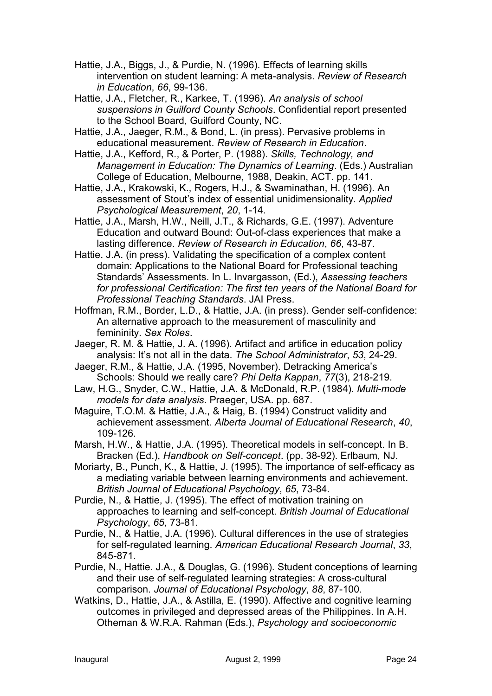- Hattie, J.A., Biggs, J., & Purdie, N. (1996). Effects of learning skills intervention on student learning: A meta-analysis. *Review of Research in Education*, *66*, 99-136.
- Hattie, J.A., Fletcher, R., Karkee, T. (1996). *An analysis of school suspensions in Guilford County Schools*. Confidential report presented to the School Board, Guilford County, NC.
- Hattie, J.A., Jaeger, R.M., & Bond, L. (in press). Pervasive problems in educational measurement. *Review of Research in Education*.
- Hattie, J.A., Kefford, R., & Porter, P. (1988). *Skills, Technology, and Management in Education: The Dynamics of Learning*. (Eds.) Australian College of Education, Melbourne, 1988, Deakin, ACT. pp. 141.
- Hattie, J.A., Krakowski, K., Rogers, H.J., & Swaminathan, H. (1996). An assessment of Stout's index of essential unidimensionality. *Applied Psychological Measurement*, *20*, 1-14.
- Hattie, J.A., Marsh, H.W., Neill, J.T., & Richards, G.E. (1997). Adventure Education and outward Bound: Out-of-class experiences that make a lasting difference. *Review of Research in Education*, *66*, 43-87.
- Hattie. J.A. (in press). Validating the specification of a complex content domain: Applications to the National Board for Professional teaching Standards' Assessments. In L. Invargasson, (Ed.), *Assessing teachers for professional Certification: The first ten years of the National Board for Professional Teaching Standards*. JAI Press.
- Hoffman, R.M., Border, L.D., & Hattie, J.A. (in press). Gender self-confidence: An alternative approach to the measurement of masculinity and femininity. *Sex Roles*.
- Jaeger, R. M. & Hattie, J. A. (1996). Artifact and artifice in education policy analysis: It's not all in the data. *The School Administrator*, *53*, 24-29.
- Jaeger, R.M., & Hattie, J.A. (1995, November). Detracking America's Schools: Should we really care? *Phi Delta Kappan*, *77*(3), 218-219.
- Law, H.G., Snyder, C.W., Hattie, J.A. & McDonald, R.P. (1984). *Multi-mode models for data analysis*. Praeger, USA. pp. 687.
- Maguire, T.O.M. & Hattie, J.A., & Haig, B. (1994) Construct validity and achievement assessment. *Alberta Journal of Educational Research*, *40*, 109-126.
- Marsh, H.W., & Hattie, J.A. (1995). Theoretical models in self-concept. In B. Bracken (Ed.), *Handbook on Self-concept*. (pp. 38-92). Erlbaum, NJ.
- Moriarty, B., Punch, K., & Hattie, J. (1995). The importance of self-efficacy as a mediating variable between learning environments and achievement. *British Journal of Educational Psychology*, *65*, 73-84.
- Purdie, N., & Hattie, J. (1995). The effect of motivation training on approaches to learning and self-concept. *British Journal of Educational Psychology*, *65*, 73-81.
- Purdie, N., & Hattie, J.A. (1996). Cultural differences in the use of strategies for self-regulated learning. *American Educational Research Journal*, *33*, 845-871.
- Purdie, N., Hattie. J.A., & Douglas, G. (1996). Student conceptions of learning and their use of self-regulated learning strategies: A cross-cultural comparison. *Journal of Educational Psychology*, *88*, 87-100.
- Watkins, D., Hattie, J.A., & Astilla, E. (1990). Affective and cognitive learning outcomes in privileged and depressed areas of the Philippines. In A.H. Otheman & W.R.A. Rahman (Eds.), *Psychology and socioeconomic*